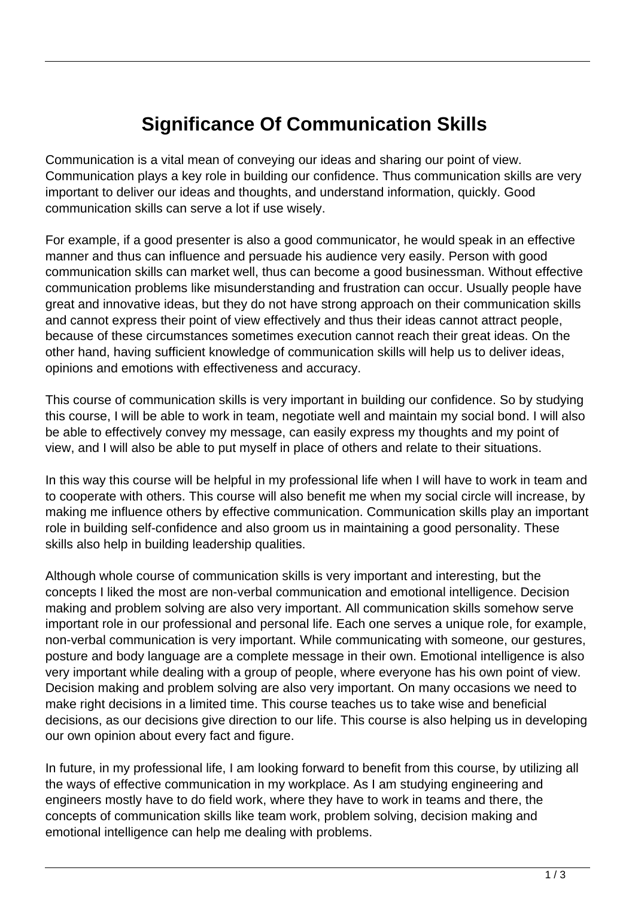# **Significance Of Communication Skills**

Communication is a vital mean of conveying our ideas and sharing our point of view. Communication plays a key role in building our confidence. Thus communication skills are very important to deliver our ideas and thoughts, and understand information, quickly. Good communication skills can serve a lot if use wisely.

For example, if a good presenter is also a good communicator, he would speak in an effective manner and thus can influence and persuade his audience very easily. Person with good communication skills can market well, thus can become a good businessman. Without effective communication problems like misunderstanding and frustration can occur. Usually people have great and innovative ideas, but they do not have strong approach on their communication skills and cannot express their point of view effectively and thus their ideas cannot attract people, because of these circumstances sometimes execution cannot reach their great ideas. On the other hand, having sufficient knowledge of communication skills will help us to deliver ideas, opinions and emotions with effectiveness and accuracy.

This course of communication skills is very important in building our confidence. So by studying this course, I will be able to work in team, negotiate well and maintain my social bond. I will also be able to effectively convey my message, can easily express my thoughts and my point of view, and I will also be able to put myself in place of others and relate to their situations.

In this way this course will be helpful in my professional life when I will have to work in team and to cooperate with others. This course will also benefit me when my social circle will increase, by making me influence others by effective communication. Communication skills play an important role in building self-confidence and also groom us in maintaining a good personality. These skills also help in building leadership qualities.

Although whole course of communication skills is very important and interesting, but the concepts I liked the most are non-verbal communication and emotional intelligence. Decision making and problem solving are also very important. All communication skills somehow serve important role in our professional and personal life. Each one serves a unique role, for example, non-verbal communication is very important. While communicating with someone, our gestures, posture and body language are a complete message in their own. Emotional intelligence is also very important while dealing with a group of people, where everyone has his own point of view. Decision making and problem solving are also very important. On many occasions we need to make right decisions in a limited time. This course teaches us to take wise and beneficial decisions, as our decisions give direction to our life. This course is also helping us in developing our own opinion about every fact and figure.

In future, in my professional life, I am looking forward to benefit from this course, by utilizing all the ways of effective communication in my workplace. As I am studying engineering and engineers mostly have to do field work, where they have to work in teams and there, the concepts of communication skills like team work, problem solving, decision making and emotional intelligence can help me dealing with problems.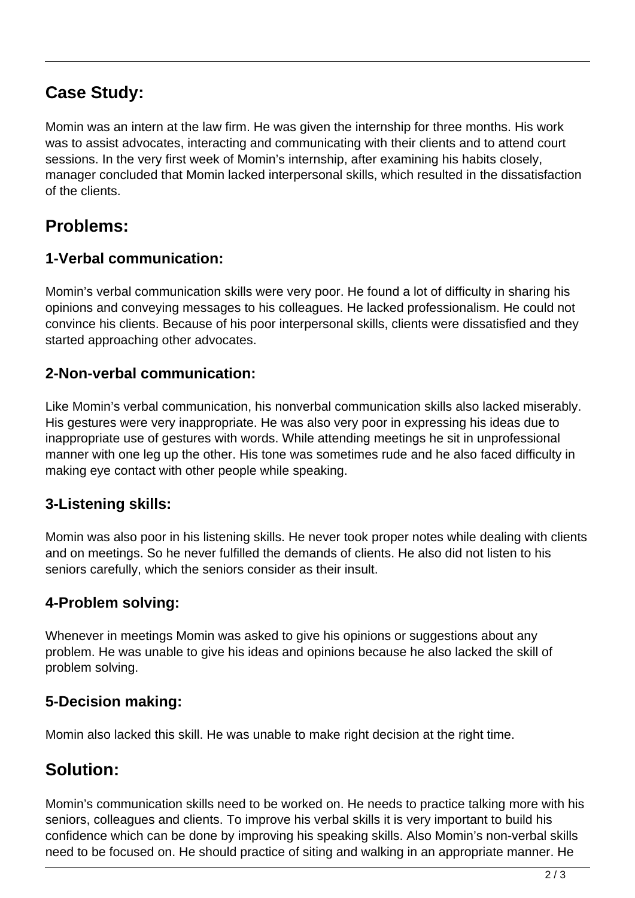## **Case Study:**

Momin was an intern at the law firm. He was given the internship for three months. His work was to assist advocates, interacting and communicating with their clients and to attend court sessions. In the very first week of Momin's internship, after examining his habits closely, manager concluded that Momin lacked interpersonal skills, which resulted in the dissatisfaction of the clients.

### **Problems:**

#### **1-Verbal communication:**

Momin's verbal communication skills were very poor. He found a lot of difficulty in sharing his opinions and conveying messages to his colleagues. He lacked professionalism. He could not convince his clients. Because of his poor interpersonal skills, clients were dissatisfied and they started approaching other advocates.

#### **2-Non-verbal communication:**

Like Momin's verbal communication, his nonverbal communication skills also lacked miserably. His gestures were very inappropriate. He was also very poor in expressing his ideas due to inappropriate use of gestures with words. While attending meetings he sit in unprofessional manner with one leg up the other. His tone was sometimes rude and he also faced difficulty in making eye contact with other people while speaking.

#### **3-Listening skills:**

Momin was also poor in his listening skills. He never took proper notes while dealing with clients and on meetings. So he never fulfilled the demands of clients. He also did not listen to his seniors carefully, which the seniors consider as their insult.

#### **4-Problem solving:**

Whenever in meetings Momin was asked to give his opinions or suggestions about any problem. He was unable to give his ideas and opinions because he also lacked the skill of problem solving.

#### **5-Decision making:**

Momin also lacked this skill. He was unable to make right decision at the right time.

### **Solution:**

Momin's communication skills need to be worked on. He needs to practice talking more with his seniors, colleagues and clients. To improve his verbal skills it is very important to build his confidence which can be done by improving his speaking skills. Also Momin's non-verbal skills need to be focused on. He should practice of siting and walking in an appropriate manner. He